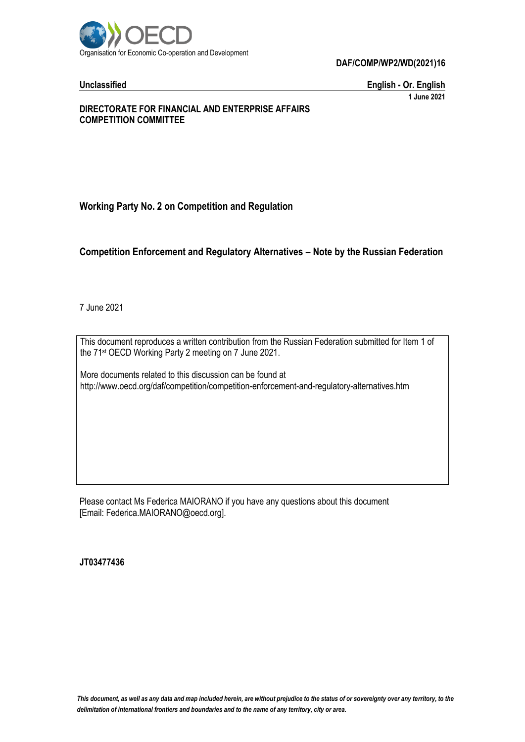

**DAF/COMP/WP2/WD(2021)16**

**Unclassified English - Or. English 1 June 2021**

#### **DIRECTORATE FOR FINANCIAL AND ENTERPRISE AFFAIRS COMPETITION COMMITTEE**

# **Working Party No. 2 on Competition and Regulation**

# **Competition Enforcement and Regulatory Alternatives – Note by the Russian Federation**

7 June 2021

This document reproduces a written contribution from the Russian Federation submitted for Item 1 of the 71 st OECD Working Party 2 meeting on 7 June 2021.

More documents related to this discussion can be found at http://www.oecd.org/daf/competition/competition-enforcement-and-regulatory-alternatives.htm

Please contact Ms Federica MAIORANO if you have any questions about this document [Email: Federica.MAIORANO@oecd.org].

**JT03477436**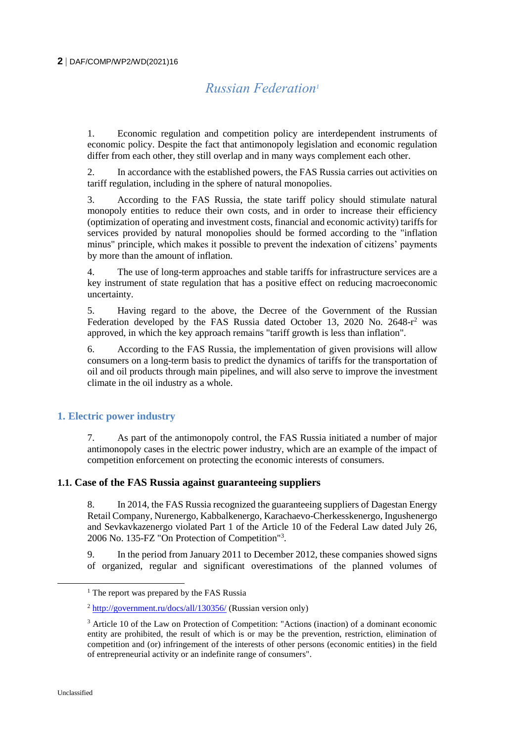# *Russian Federation<sup>1</sup>*

1. Economic regulation and competition policy are interdependent instruments of economic policy. Despite the fact that antimonopoly legislation and economic regulation differ from each other, they still overlap and in many ways complement each other.

2. In accordance with the established powers, the FAS Russia carries out activities on tariff regulation, including in the sphere of natural monopolies.

3. According to the FAS Russia, the state tariff policy should stimulate natural monopoly entities to reduce their own costs, and in order to increase their efficiency (optimization of operating and investment costs, financial and economic activity) tariffs for services provided by natural monopolies should be formed according to the "inflation minus" principle, which makes it possible to prevent the indexation of citizens' payments by more than the amount of inflation.

4. The use of long-term approaches and stable tariffs for infrastructure services are a key instrument of state regulation that has a positive effect on reducing macroeconomic uncertainty.

5. Having regard to the above, the Decree of the Government of the Russian Federation developed by the FAS Russia dated October 13, 2020 No. 2648-r<sup>2</sup> was approved, in which the key approach remains "tariff growth is less than inflation".

6. According to the FAS Russia, the implementation of given provisions will allow consumers on a long-term basis to predict the dynamics of tariffs for the transportation of oil and oil products through main pipelines, and will also serve to improve the investment climate in the oil industry as a whole.

### **1. Electric power industry**

7. As part of the antimonopoly control, the FAS Russia initiated a number of major antimonopoly cases in the electric power industry, which are an example of the impact of competition enforcement on protecting the economic interests of consumers.

### **1.1. Case of the FAS Russia against guaranteeing suppliers**

8. In 2014, the FAS Russia recognized the guaranteeing suppliers of Dagestan Energy Retail Company, Nurenergo, Kabbalkenergo, Karachaevo-Cherkesskenergo, Ingushenergo and Sevkavkazenergo violated Part 1 of the Article 10 of the Federal Law dated July 26, 2006 No. 135-FZ "On Protection of Competition"<sup>3</sup> .

9. In the period from January 2011 to December 2012, these companies showed signs of organized, regular and significant overestimations of the planned volumes of

 $\overline{a}$ 

<sup>&</sup>lt;sup>1</sup> The report was prepared by the FAS Russia

 $^{2}$  <http://government.ru/docs/all/130356/> (Russian version only)

<sup>&</sup>lt;sup>3</sup> Article 10 of the Law on Protection of Competition: "Actions (inaction) of a dominant economic entity are prohibited, the result of which is or may be the prevention, restriction, elimination of competition and (or) infringement of the interests of other persons (economic entities) in the field of entrepreneurial activity or an indefinite range of consumers".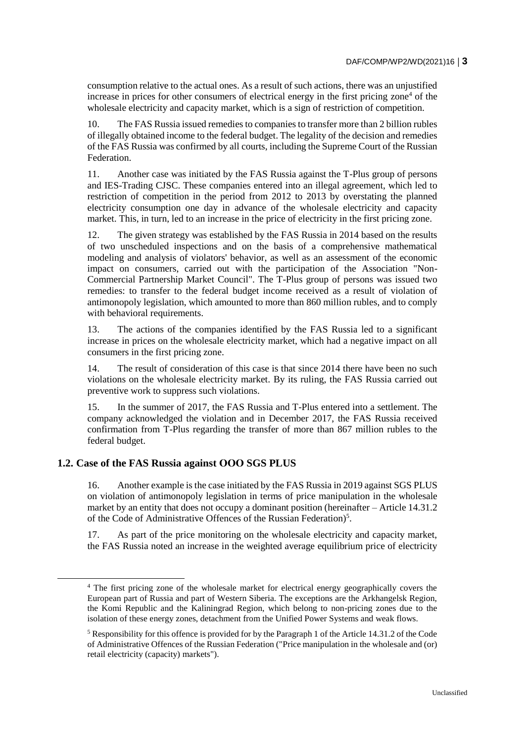consumption relative to the actual ones. As a result of such actions, there was an unjustified increase in prices for other consumers of electrical energy in the first pricing zone<sup>4</sup> of the wholesale electricity and capacity market, which is a sign of restriction of competition.

10. The FAS Russia issued remedies to companies to transfer more than 2 billion rubles of illegally obtained income to the federal budget. The legality of the decision and remedies of the FAS Russia was confirmed by all courts, including the Supreme Court of the Russian Federation.

11. Another case was initiated by the FAS Russia against the T-Plus group of persons and IES-Trading CJSC. These companies entered into an illegal agreement, which led to restriction of competition in the period from 2012 to 2013 by overstating the planned electricity consumption one day in advance of the wholesale electricity and capacity market. This, in turn, led to an increase in the price of electricity in the first pricing zone.

12. The given strategy was established by the FAS Russia in 2014 based on the results of two unscheduled inspections and on the basis of a comprehensive mathematical modeling and analysis of violators' behavior, as well as an assessment of the economic impact on consumers, carried out with the participation of the Association "Non-Commercial Partnership Market Council". The T-Plus group of persons was issued two remedies: to transfer to the federal budget income received as a result of violation of antimonopoly legislation, which amounted to more than 860 million rubles, and to comply with behavioral requirements.

13. The actions of the companies identified by the FAS Russia led to a significant increase in prices on the wholesale electricity market, which had a negative impact on all consumers in the first pricing zone.

14. The result of consideration of this case is that since 2014 there have been no such violations on the wholesale electricity market. By its ruling, the FAS Russia carried out preventive work to suppress such violations.

15. In the summer of 2017, the FAS Russia and T-Plus entered into a settlement. The company acknowledged the violation and in December 2017, the FAS Russia received confirmation from T-Plus regarding the transfer of more than 867 million rubles to the federal budget.

### **1.2. Case of the FAS Russia against ООО SGS PLUS**

16. Another example is the case initiated by the FAS Russia in 2019 against SGS PLUS on violation of antimonopoly legislation in terms of price manipulation in the wholesale market by an entity that does not occupy a dominant position (hereinafter – Article 14.31.2 of the Code of Administrative Offences of the Russian Federation)<sup>5</sup>.

17. As part of the price monitoring on the wholesale electricity and capacity market, the FAS Russia noted an increase in the weighted average equilibrium price of electricity

<sup>4</sup> The first pricing zone of the wholesale market for electrical energy geographically covers the European part of Russia and part of Western Siberia. The exceptions are the Arkhangelsk Region, the Komi Republic and the Kaliningrad Region, which belong to non-pricing zones due to the isolation of these energy zones, detachment from the Unified Power Systems and weak flows.

<sup>&</sup>lt;sup>5</sup> Responsibility for this offence is provided for by the Paragraph 1 of the Article 14.31.2 of the Code of Administrative Offences of the Russian Federation ("Price manipulation in the wholesale and (or) retail electricity (capacity) markets").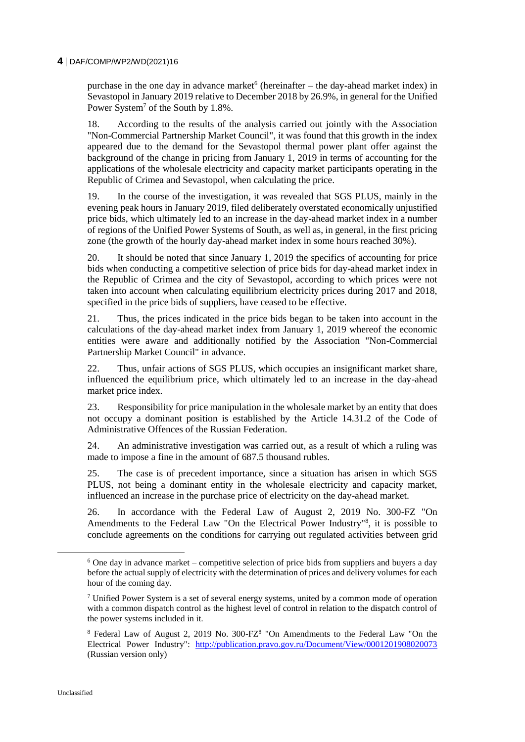#### **4** DAF/COMP/WP2/WD(2021)16

purchase in the one day in advance market  $6$  (hereinafter – the day-ahead market index) in Sevastopol in January 2019 relative to December 2018 by 26.9%, in general for the Unified Power System<sup>7</sup> of the South by 1.8%.

18. According to the results of the analysis carried out jointly with the Association "Non-Commercial Partnership Market Council", it was found that this growth in the index appeared due to the demand for the Sevastopol thermal power plant offer against the background of the change in pricing from January 1, 2019 in terms of accounting for the applications of the wholesale electricity and capacity market participants operating in the Republic of Crimea and Sevastopol, when calculating the price.

19. In the course of the investigation, it was revealed that SGS PLUS, mainly in the evening peak hours in January 2019, filed deliberately overstated economically unjustified price bids, which ultimately led to an increase in the day-ahead market index in a number of regions of the Unified Power Systems of South, as well as, in general, in the first pricing zone (the growth of the hourly day-ahead market index in some hours reached 30%).

20. It should be noted that since January 1, 2019 the specifics of accounting for price bids when conducting a competitive selection of price bids for day-ahead market index in the Republic of Crimea and the city of Sevastopol, according to which prices were not taken into account when calculating equilibrium electricity prices during 2017 and 2018, specified in the price bids of suppliers, have ceased to be effective.

21. Thus, the prices indicated in the price bids began to be taken into account in the calculations of the day-ahead market index from January 1, 2019 whereof the economic entities were aware and additionally notified by the Association "Non-Commercial Partnership Market Council" in advance.

22. Thus, unfair actions of SGS PLUS, which occupies an insignificant market share, influenced the equilibrium price, which ultimately led to an increase in the day-ahead market price index.

23. Responsibility for price manipulation in the wholesale market by an entity that does not occupy a dominant position is established by the Article 14.31.2 of the Code of Administrative Offences of the Russian Federation.

24. An administrative investigation was carried out, as a result of which a ruling was made to impose a fine in the amount of 687.5 thousand rubles.

25. The case is of precedent importance, since a situation has arisen in which SGS PLUS, not being a dominant entity in the wholesale electricity and capacity market, influenced an increase in the purchase price of electricity on the day-ahead market.

26. In accordance with the Federal Law of August 2, 2019 No. 300-FZ "On Amendments to the Federal Law "On the Electrical Power Industry"<sup>8</sup> , it is possible to conclude agreements on the conditions for carrying out regulated activities between grid

 $\overline{a}$ 

 $6$  One day in advance market – competitive selection of price bids from suppliers and buyers a day before the actual supply of electricity with the determination of prices and delivery volumes for each hour of the coming day.

 $<sup>7</sup>$  Unified Power System is a set of several energy systems, united by a common mode of operation</sup> with a common dispatch control as the highest level of control in relation to the dispatch control of the power systems included in it.

<sup>&</sup>lt;sup>8</sup> Federal Law of August 2, 2019 No. 300-FZ<sup>8</sup> "On Amendments to the Federal Law "On the Electrical Power Industry": <http://publication.pravo.gov.ru/Document/View/0001201908020073> (Russian version only)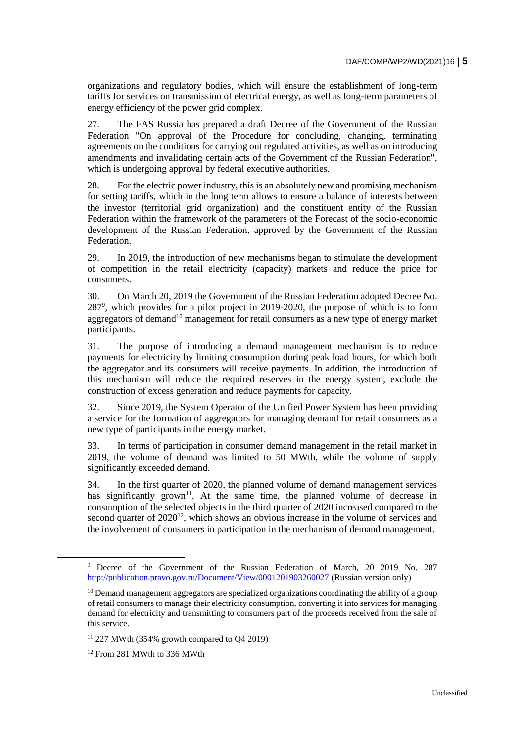organizations and regulatory bodies, which will ensure the establishment of long-term tariffs for services on transmission of electrical energy, as well as long-term parameters of energy efficiency of the power grid complex.

27. The FAS Russia has prepared a draft Decree of the Government of the Russian Federation "On approval of the Procedure for concluding, changing, terminating agreements on the conditions for carrying out regulated activities, as well as on introducing amendments and invalidating certain acts of the Government of the Russian Federation", which is undergoing approval by federal executive authorities.

28. For the electric power industry, this is an absolutely new and promising mechanism for setting tariffs, which in the long term allows to ensure a balance of interests between the investor (territorial grid organization) and the constituent entity of the Russian Federation within the framework of the parameters of the Forecast of the socio-economic development of the Russian Federation, approved by the Government of the Russian Federation.

29. In 2019, the introduction of new mechanisms began to stimulate the development of competition in the retail electricity (capacity) markets and reduce the price for consumers.

30. On March 20, 2019 the Government of the Russian Federation adopted Decree No. 287<sup>9</sup> , which provides for a pilot project in 2019-2020, the purpose of which is to form aggregators of demand<sup>10</sup> management for retail consumers as a new type of energy market participants.

31. The purpose of introducing a demand management mechanism is to reduce payments for electricity by limiting consumption during peak load hours, for which both the aggregator and its consumers will receive payments. In addition, the introduction of this mechanism will reduce the required reserves in the energy system, exclude the construction of excess generation and reduce payments for capacity.

32. Since 2019, the System Operator of the Unified Power System has been providing a service for the formation of aggregators for managing demand for retail consumers as a new type of participants in the energy market.

33. In terms of participation in consumer demand management in the retail market in 2019, the volume of demand was limited to 50 MWth, while the volume of supply significantly exceeded demand.

34. In the first quarter of 2020, the planned volume of demand management services has significantly grown<sup>11</sup>. At the same time, the planned volume of decrease in consumption of the selected objects in the third quarter of 2020 increased compared to the second quarter of  $2020^{12}$ , which shows an obvious increase in the volume of services and the involvement of consumers in participation in the mechanism of demand management.

<sup>9</sup> Decree of the Government of the Russian Federation of March, 20 2019 No. 287 <http://publication.pravo.gov.ru/Document/View/0001201903260027> (Russian version only)

<sup>&</sup>lt;sup>10</sup> Demand management aggregators are specialized organizations coordinating the ability of a group of retail consumers to manage their electricity consumption, converting it into services for managing demand for electricity and transmitting to consumers part of the proceeds received from the sale of this service.

 $11$  227 MWth (354% growth compared to O4 2019)

<sup>&</sup>lt;sup>12</sup> From 281 MWth to 336 MWth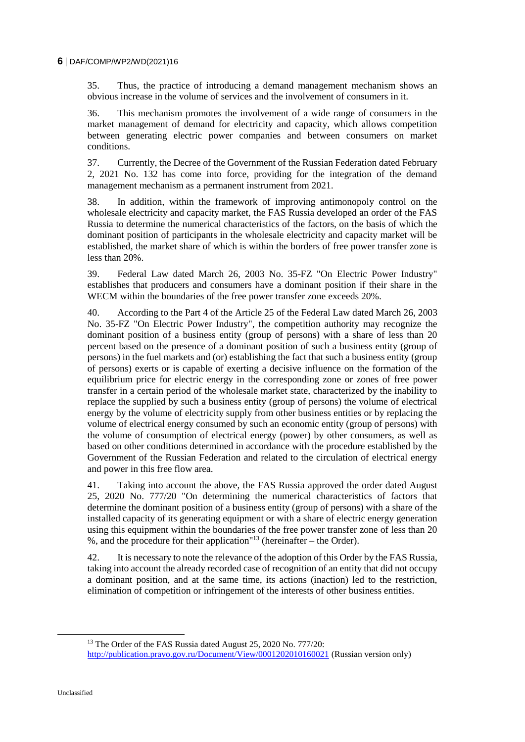35. Thus, the practice of introducing a demand management mechanism shows an obvious increase in the volume of services and the involvement of consumers in it.

36. This mechanism promotes the involvement of a wide range of consumers in the market management of demand for electricity and capacity, which allows competition between generating electric power companies and between consumers on market conditions.

37. Currently, the Decree of the Government of the Russian Federation dated February 2, 2021 No. 132 has come into force, providing for the integration of the demand management mechanism as a permanent instrument from 2021.

38. In addition, within the framework of improving antimonopoly control on the wholesale electricity and capacity market, the FAS Russia developed an order of the FAS Russia to determine the numerical characteristics of the factors, on the basis of which the dominant position of participants in the wholesale electricity and capacity market will be established, the market share of which is within the borders of free power transfer zone is less than 20%.

39. Federal Law dated March 26, 2003 No. 35-FZ "On Electric Power Industry" establishes that producers and consumers have a dominant position if their share in the WECM within the boundaries of the free power transfer zone exceeds 20%.

40. According to the Part 4 of the Article 25 of the Federal Law dated March 26, 2003 No. 35-FZ "On Electric Power Industry", the competition authority may recognize the dominant position of a business entity (group of persons) with a share of less than 20 percent based on the presence of a dominant position of such a business entity (group of persons) in the fuel markets and (or) establishing the fact that such a business entity (group of persons) exerts or is capable of exerting a decisive influence on the formation of the equilibrium price for electric energy in the corresponding zone or zones of free power transfer in a certain period of the wholesale market state, characterized by the inability to replace the supplied by such a business entity (group of persons) the volume of electrical energy by the volume of electricity supply from other business entities or by replacing the volume of electrical energy consumed by such an economic entity (group of persons) with the volume of consumption of electrical energy (power) by other consumers, as well as based on other conditions determined in accordance with the procedure established by the Government of the Russian Federation and related to the circulation of electrical energy and power in this free flow area.

41. Taking into account the above, the FAS Russia approved the order dated August 25, 2020 No. 777/20 "On determining the numerical characteristics of factors that determine the dominant position of a business entity (group of persons) with a share of the installed capacity of its generating equipment or with a share of electric energy generation using this equipment within the boundaries of the free power transfer zone of less than 20 %, and the procedure for their application"<sup>13</sup> (hereinafter – the Order).

42. It is necessary to note the relevance of the adoption of this Order by the FAS Russia, taking into account the already recorded case of recognition of an entity that did not occupy a dominant position, and at the same time, its actions (inaction) led to the restriction, elimination of competition or infringement of the interests of other business entities.

<sup>&</sup>lt;sup>13</sup> The Order of the FAS Russia dated August 25, 2020 No. 777/20: <http://publication.pravo.gov.ru/Document/View/0001202010160021> (Russian version only)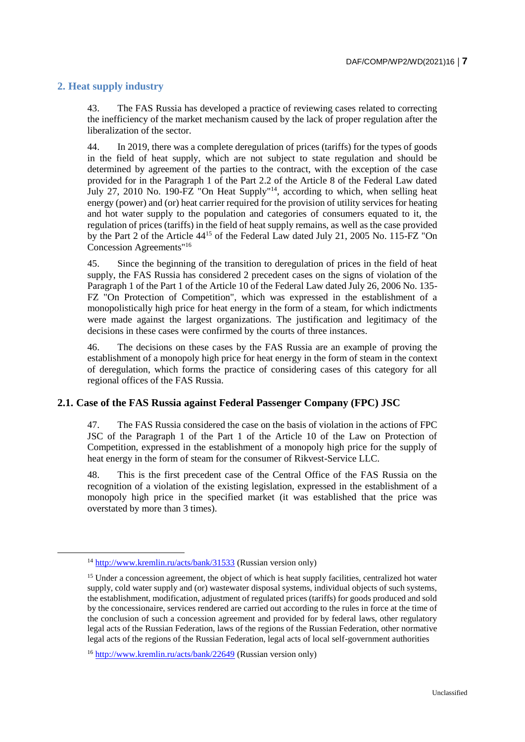# **2. Heat supply industry**

 $\overline{a}$ 

43. The FAS Russia has developed a practice of reviewing cases related to correcting the inefficiency of the market mechanism caused by the lack of proper regulation after the liberalization of the sector.

44. In 2019, there was a complete deregulation of prices (tariffs) for the types of goods in the field of heat supply, which are not subject to state regulation and should be determined by agreement of the parties to the contract, with the exception of the case provided for in the Paragraph 1 of the Part 2.2 of the Article 8 of the Federal Law dated July 27, 2010 No. 190-FZ "On Heat Supply"<sup>14</sup>, according to which, when selling heat energy (power) and (or) heat carrier required for the provision of utility services for heating and hot water supply to the population and categories of consumers equated to it, the regulation of prices (tariffs) in the field of heat supply remains, as well as the case provided by the Part 2 of the Article 44<sup>15</sup> of the Federal Law dated July 21, 2005 No. 115-FZ "On Concession Agreements"<sup>16</sup>

45. Since the beginning of the transition to deregulation of prices in the field of heat supply, the FAS Russia has considered 2 precedent cases on the signs of violation of the Paragraph 1 of the Part 1 of the Article 10 of the Federal Law dated July 26, 2006 No. 135- FZ "On Protection of Competition", which was expressed in the establishment of a monopolistically high price for heat energy in the form of a steam, for which indictments were made against the largest organizations. The justification and legitimacy of the decisions in these cases were confirmed by the courts of three instances.

46. The decisions on these cases by the FAS Russia are an example of proving the establishment of a monopoly high price for heat energy in the form of steam in the context of deregulation, which forms the practice of considering cases of this category for all regional offices of the FAS Russia.

### **2.1. Case of the FAS Russia against Federal Passenger Company (FPC) JSC**

47. The FAS Russia considered the case on the basis of violation in the actions of FPC JSC of the Paragraph 1 of the Part 1 of the Article 10 of the Law on Protection of Competition, expressed in the establishment of a monopoly high price for the supply of heat energy in the form of steam for the consumer of Rikvest-Service LLC.

48. This is the first precedent case of the Central Office of the FAS Russia on the recognition of a violation of the existing legislation, expressed in the establishment of a monopoly high price in the specified market (it was established that the price was overstated by more than 3 times).

<sup>14</sup> <http://www.kremlin.ru/acts/bank/31533> (Russian version only)

<sup>&</sup>lt;sup>15</sup> Under a concession agreement, the object of which is heat supply facilities, centralized hot water supply, cold water supply and (or) wastewater disposal systems, individual objects of such systems, the establishment, modification, adjustment of regulated prices (tariffs) for goods produced and sold by the concessionaire, services rendered are carried out according to the rules in force at the time of the conclusion of such a concession agreement and provided for by federal laws, other regulatory legal acts of the Russian Federation, laws of the regions of the Russian Federation, other normative legal acts of the regions of the Russian Federation, legal acts of local self-government authorities

<sup>16</sup> <http://www.kremlin.ru/acts/bank/22649> (Russian version only)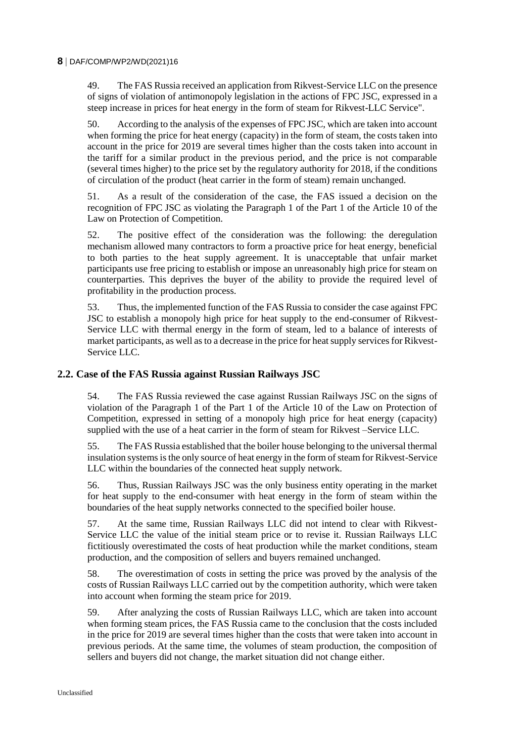#### **8** DAF/COMP/WP2/WD(2021)16

49. The FAS Russia received an application from Rikvest-Service LLC on the presence of signs of violation of antimonopoly legislation in the actions of FPC JSC, expressed in a steep increase in prices for heat energy in the form of steam for Rikvest-LLC Service".

50. According to the analysis of the expenses of FPC JSC, which are taken into account when forming the price for heat energy (capacity) in the form of steam, the costs taken into account in the price for 2019 are several times higher than the costs taken into account in the tariff for a similar product in the previous period, and the price is not comparable (several times higher) to the price set by the regulatory authority for 2018, if the conditions of circulation of the product (heat carrier in the form of steam) remain unchanged.

51. As a result of the consideration of the case, the FAS issued a decision on the recognition of FPC JSC as violating the Paragraph 1 of the Part 1 of the Article 10 of the Law on Protection of Competition.

52. The positive effect of the consideration was the following: the deregulation mechanism allowed many contractors to form a proactive price for heat energy, beneficial to both parties to the heat supply agreement. It is unacceptable that unfair market participants use free pricing to establish or impose an unreasonably high price for steam on counterparties. This deprives the buyer of the ability to provide the required level of profitability in the production process.

53. Thus, the implemented function of the FAS Russia to consider the case against FPC JSC to establish a monopoly high price for heat supply to the end-consumer of Rikvest-Service LLC with thermal energy in the form of steam, led to a balance of interests of market participants, as well as to a decrease in the price for heat supply services for Rikvest-Service LLC.

#### **2.2. Case of the FAS Russia against Russian Railways JSC**

54. The FAS Russia reviewed the case against Russian Railways JSC on the signs of violation of the Paragraph 1 of the Part 1 of the Article 10 of the Law on Protection of Competition, expressed in setting of a monopoly high price for heat energy (capacity) supplied with the use of a heat carrier in the form of steam for Rikvest –Service LLC.

55. The FAS Russia established that the boiler house belonging to the universal thermal insulation systems is the only source of heat energy in the form of steam for Rikvest-Service LLC within the boundaries of the connected heat supply network.

56. Thus, Russian Railways JSC was the only business entity operating in the market for heat supply to the end-consumer with heat energy in the form of steam within the boundaries of the heat supply networks connected to the specified boiler house.

57. At the same time, Russian Railways LLC did not intend to clear with Rikvest-Service LLC the value of the initial steam price or to revise it. Russian Railways LLC fictitiously overestimated the costs of heat production while the market conditions, steam production, and the composition of sellers and buyers remained unchanged.

58. The overestimation of costs in setting the price was proved by the analysis of the costs of Russian Railways LLC carried out by the competition authority, which were taken into account when forming the steam price for 2019.

59. After analyzing the costs of Russian Railways LLC, which are taken into account when forming steam prices, the FAS Russia came to the conclusion that the costs included in the price for 2019 are several times higher than the costs that were taken into account in previous periods. At the same time, the volumes of steam production, the composition of sellers and buyers did not change, the market situation did not change either.